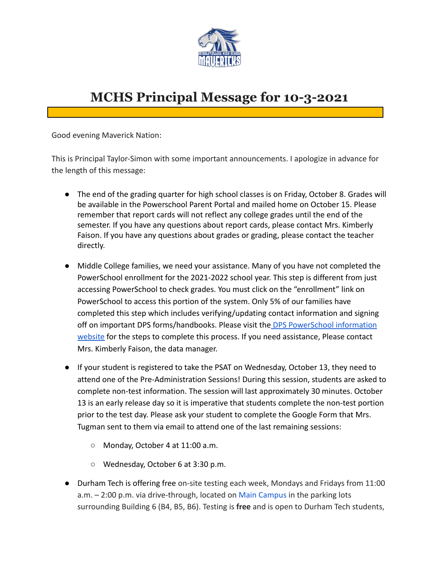

## **MCHS Principal Message for 10-3-2021**

Good evening Maverick Nation:

This is Principal Taylor-Simon with some important announcements. I apologize in advance for the length of this message:

- The end of the grading quarter for high school classes is on Friday, October 8. Grades will be available in the Powerschool Parent Portal and mailed home on October 15. Please remember that report cards will not reflect any college grades until the end of the semester. If you have any questions about report cards, please contact Mrs. Kimberly Faison. If you have any questions about grades or grading, please contact the teacher directly.
- Middle College families, we need your assistance. Many of you have not completed the PowerSchool enrollment for the 2021-2022 school year. This step is different from just accessing PowerSchool to check grades. You must click on the "enrollment" link on PowerSchool to access this portion of the system. Only 5% of our families have completed this step which includes verifying/updating contact information and signing off on important DPS forms/handbooks. Please visit the [DPS PowerSchool information](https://www.dpsnc.net/Page/4734) [website](https://www.dpsnc.net/Page/4734) for the steps to complete this process. If you need assistance, Please contact Mrs. Kimberly Faison, the data manager.
- If your student is registered to take the PSAT on Wednesday, October 13, they need to attend one of the Pre-Administration Sessions! During this session, students are asked to complete non-test information. The session will last approximately 30 minutes. October 13 is an early release day so it is imperative that students complete the non-test portion prior to the test day. Please ask your student to complete the Google Form that Mrs. Tugman sent to them via email to attend one of the last remaining sessions:
	- Monday, October 4 at 11:00 a.m.
	- Wednesday, October 6 at 3:30 p.m.
- Durham Tech is offering free on-site testing each week, Mondays and Fridays from 11:00 a.m. – 2:00 p.m. via drive-through, located on Main [Campus](https://www.durhamtech.edu/about-durham-tech/map-directions) in the parking lots surrounding Building 6 (B4, B5, B6). Testing is **free** and is open to Durham Tech students,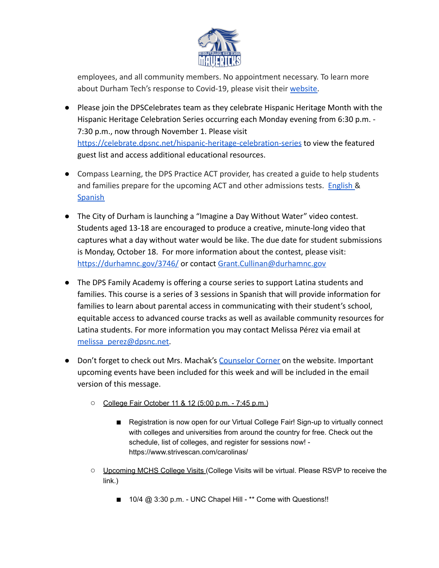

employees, and all community members. No appointment necessary. To learn more about Durham Tech's response to Covid-19, please visit their [website.](https://www.durhamtech.edu/coronavirus/vaccinations)

- Please join the DPSCelebrates team as they celebrate Hispanic Heritage Month with the Hispanic Heritage Celebration Series occurring each Monday evening from 6:30 p.m. - 7:30 p.m., now through November 1. Please visit <https://celebrate.dpsnc.net/hispanic-heritage-celebration-series> to view the featured guest list and access additional educational resources.
- Compass Learning, the DPS Practice ACT provider, has created a guide to help students and families prepare for the upcoming ACT and other admissions tests. [English](https://downloads.compassprep.com/compass_guide_to_admission_testing.pdf) & **[Spanish](https://downloads.compassprep.com/compass_guide_spanish.pdf)**
- The City of Durham is launching a "Imagine a Day Without Water" video contest. Students aged 13-18 are encouraged to produce a creative, minute-long video that captures what a day without water would be like. The due date for student submissions is Monday, October 18. For more information about the contest, please visit: <https://durhamnc.gov/3746/> or contact [Grant.Cullinan@durhamnc.gov](mailto:Grant.Cullinan@durhamnc.gov)
- The DPS Family Academy is offering a course series to support Latina students and families. This course is a series of 3 sessions in Spanish that will provide information for families to learn about parental access in communicating with their student's school, equitable access to advanced course tracks as well as available community resources for Latina students. For more information you may contact Melissa Pérez via email at [melissa\\_perez@dpsnc.net.](mailto:melissa_perez@dpsnc.net)
- Don't forget to check out Mrs. Machak's [Counselor](https://www.dpsnc.net/domain/2063) Corner on the website. Important upcoming events have been included for this week and will be included in the email version of this message.
	- College Fair October 11 & 12 (5:00 p.m. 7:45 p.m.)
		- Registration is now open for our Virtual College Fair! Sign-up to virtually connect with colleges and universities from around the country for free. Check out the schedule, list of colleges, and register for sessions now! https://www.strivescan.com/carolinas/
	- Upcoming MCHS College Visits (College Visits will be virtual. Please RSVP to receive the link.)
		- 10/4 @ 3:30 p.m. UNC Chapel Hill \*\* Come with Questions!!